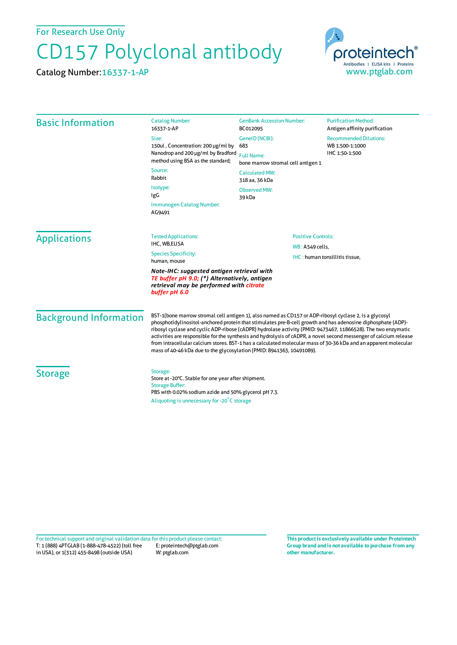For Research Use Only

## CD157 Polyclonal antibody

Catalog Number:16337-1-AP



| <b>Basic Information</b>                                                                                                                               | <b>Catalog Number:</b><br>16337-1-AP                                                                                                                                                                                                                                                                                                                                                                                                                                                                                                                                                                                                                     | <b>GenBank Accession Number:</b><br>BC012095                                                                         | <b>Purification Method:</b><br>Antigen affinity purification |
|--------------------------------------------------------------------------------------------------------------------------------------------------------|----------------------------------------------------------------------------------------------------------------------------------------------------------------------------------------------------------------------------------------------------------------------------------------------------------------------------------------------------------------------------------------------------------------------------------------------------------------------------------------------------------------------------------------------------------------------------------------------------------------------------------------------------------|----------------------------------------------------------------------------------------------------------------------|--------------------------------------------------------------|
|                                                                                                                                                        | Size:<br>150ul, Concentration: 200 µg/ml by<br>Nanodrop and 200 µg/ml by Bradford<br>method using BSA as the standard;<br>Source:<br>Rabbit<br>Isotype:<br>IgG<br>Immunogen Catalog Number:<br>AG9491                                                                                                                                                                                                                                                                                                                                                                                                                                                    | GeneID (NCBI):<br>683                                                                                                | <b>Recommended Dilutions:</b><br>WB 1:500-1:1000             |
|                                                                                                                                                        |                                                                                                                                                                                                                                                                                                                                                                                                                                                                                                                                                                                                                                                          | IHC 1:50-1:500<br><b>Full Name:</b><br>bone marrow stromal cell antigen 1<br><b>Calculated MW:</b><br>318 aa, 36 kDa |                                                              |
|                                                                                                                                                        |                                                                                                                                                                                                                                                                                                                                                                                                                                                                                                                                                                                                                                                          |                                                                                                                      |                                                              |
|                                                                                                                                                        |                                                                                                                                                                                                                                                                                                                                                                                                                                                                                                                                                                                                                                                          |                                                                                                                      |                                                              |
|                                                                                                                                                        |                                                                                                                                                                                                                                                                                                                                                                                                                                                                                                                                                                                                                                                          | <b>Applications</b>                                                                                                  | <b>Tested Applications:</b>                                  |
| IHC, WB,ELISA                                                                                                                                          | WB: A549 cells,                                                                                                                                                                                                                                                                                                                                                                                                                                                                                                                                                                                                                                          |                                                                                                                      |                                                              |
| <b>Species Specificity:</b><br>human, mouse                                                                                                            | IHC: human tonsillitis tissue,                                                                                                                                                                                                                                                                                                                                                                                                                                                                                                                                                                                                                           |                                                                                                                      |                                                              |
| Note-IHC: suggested antigen retrieval with<br>TE buffer pH 9.0; (*) Alternatively, antigen<br>retrieval may be performed with citrate<br>buffer pH 6.0 |                                                                                                                                                                                                                                                                                                                                                                                                                                                                                                                                                                                                                                                          |                                                                                                                      |                                                              |
| <b>Background Information</b>                                                                                                                          | BST-1(bone marrow stromal cell antigen 1), also named as CD157 or ADP-ribosyl cyclase 2, is a glycosyl<br>phosphotidylinositol-anchored protein that stimulates pre-B-cell growth and has adenosine diphosphate (ADP)-<br>ribosyl cyclase and cyclic ADP-ribose (cADPR) hydrolase activity (PMID: 9473467, 11866528). The two enzymatic<br>activities are responsible for the synthesis and hydrolysis of cADPR, a novel second messenger of calcium release<br>from intracellular calcium stores. BST-1 has a calculated molecular mass of 30-36 kDa and an apparent molecular<br>mass of 40-46 kDa due to the glycosylation (PMID: 8941363, 10491089). |                                                                                                                      |                                                              |
| <b>Storage</b>                                                                                                                                         | Storage:<br>Store at -20°C. Stable for one year after shipment.<br><b>Storage Buffer:</b><br>PBS with 0.02% sodium azide and 50% glycerol pH 7.3.<br>Aliquoting is unnecessary for -20°C storage                                                                                                                                                                                                                                                                                                                                                                                                                                                         |                                                                                                                      |                                                              |

T: 1 (888) 4PTGLAB (1-888-478-4522) (toll free in USA), or 1(312) 455-8498 (outside USA) E: proteintech@ptglab.com W: ptglab.com Fortechnical support and original validation data forthis product please contact: **This productis exclusively available under Proteintech**

**Group brand and is not available to purchase from any other manufacturer.**